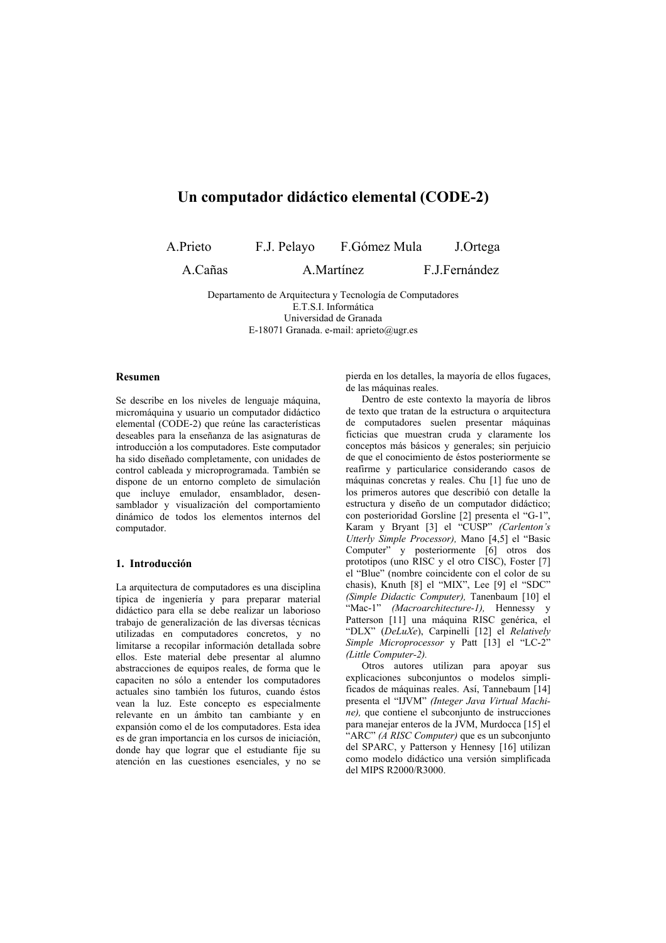# Un computador didáctico elemental (CODE-2)

A.Prieto

F.J. Pelavo F.Gómez Mula J.Ortega

A.Cañas

A.Martínez

F.J.Fernández

Departamento de Arquitectura y Tecnología de Computadores E.T.S.I. Informática Universidad de Granada E-18071 Granada. e-mail: aprieto@ugr.es

#### Resumen

Se describe en los niveles de lenguaie máquina. micromáquina y usuario un computador didáctico elemental (CODE-2) que reúne las características deseables para la enseñanza de las asignaturas de introducción a los computadores. Este computador ha sido diseñado completamente, con unidades de control cableada y microprogramada. También se dispone de un entorno completo de simulación que incluye emulador, ensamblador, desensamblador y visualización del comportamiento dinámico de todos los elementos internos del computador.

## 1. Introducción

La arquitectura de computadores es una disciplina típica de ingeniería y para preparar material didáctico para ella se debe realizar un laborioso trabajo de generalización de las diversas técnicas utilizadas en computadores concretos, y no limitarse a recopilar información detallada sobre ellos. Este material debe presentar al alumno abstracciones de equipos reales, de forma que le capaciten no sólo a entender los computadores actuales sino también los futuros, cuando éstos vean la luz. Este concepto es especialmente relevante en un ámbito tan cambiante y en expansión como el de los computadores. Esta idea es de gran importancia en los cursos de iniciación, donde hay que lograr que el estudiante fije su atención en las cuestiones esenciales, y no se

pierda en los detalles, la mayoría de ellos fugaces, de las máquinas reales.

Dentro de este contexto la mayoría de libros de texto que tratan de la estructura o arquitectura de computadores suelen presentar máquinas ficticias que muestran cruda y claramente los conceptos más básicos y generales; sin perjuicio de que el conocimiento de éstos posteriormente se reafirme y particularice considerando casos de máquinas concretas y reales. Chu [1] fue uno de los primeros autores que describió con detalle la estructura y diseño de un computador didáctico; con posterioridad Gorsline [2] presenta el "G-1", Karam y Bryant [3] el "CUSP" (Carlenton's Utterly Simple Processor). Mano [4.5] el "Basic Computer" y posteriormente [6] otros dos prototipos (uno RISC y el otro CISC), Foster [7] el "Blue" (nombre coincidente con el color de su chasis), Knuth [8] el "MIX", Lee [9] el "SDC"<br>(Simple Didactic Computer), Tanenbaum [10] el "Mac-1" (Macroarchitecture-1), Hennessy y Patterson [11] una máquina RISC genérica, el "DLX" (DeLuXe), Carpinelli [12] el Relatively Simple Microprocessor y Patt [13] el "LC-2" (Little Computer-2).

Otros autores utilizan para apoyar sus explicaciones subconjuntos o modelos simplificados de máquinas reales. Así, Tannebaum [14] presenta el "IJVM" (Integer Java Virtual Machine), que contiene el subconjunto de instrucciones para manejar enteros de la JVM, Murdocca [15] el "ARC" (A RISC Computer) que es un subconjunto del SPARC, y Patterson y Hennesy [16] utilizan como modelo didáctico una versión simplificada del MIPS R2000/R3000.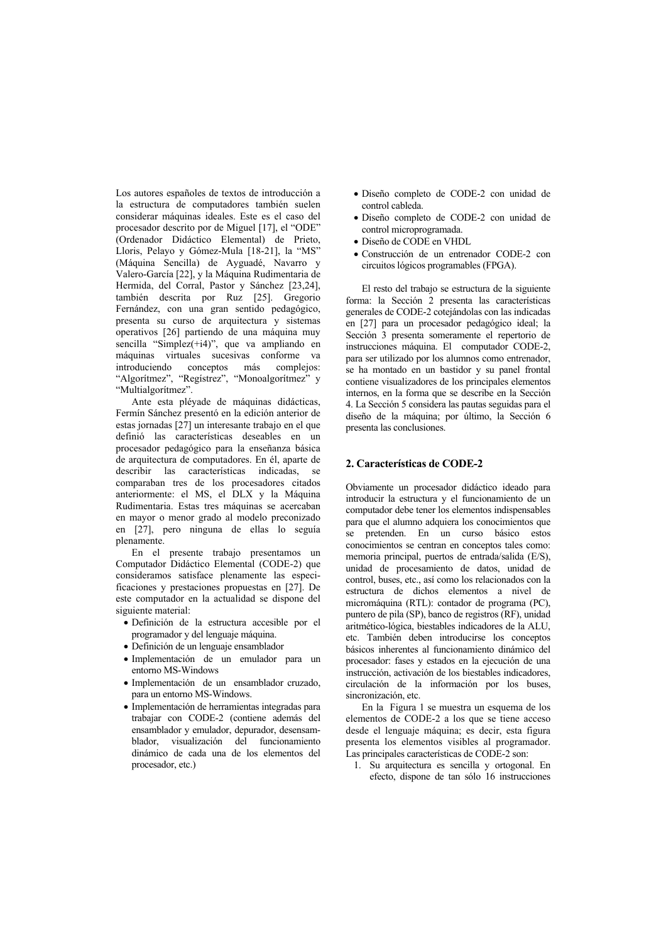Los autores españoles de textos de introducción a la estructura de computadores también suelen considerar máquinas ideales. Este es el caso del procesador descrito por de Miguel [17], el "ODE" (Ordenador Didáctico Elemental) de Prieto, Lloris, Pelayo y Gómez-Mula [18-21], la "MS" (Máquina Sencilla) de Ayguadé, Navarro y Valero-García [22], y la Máquina Rudimentaria de Hermida, del Corral, Pastor y Sánchez [23,24], también descrita por Ruz [25]. Gregorio Fernández, con una gran sentido pedagógico, presenta su curso de arquitectura y sistemas operativos [26] partiendo de una máquina muy sencilla "Simplez(+i4)", que va ampliando en máquinas virtuales sucesivas conforme va introduciendo conceptos más complejos: "Algoritmez", "Registrez", "Monoalgoritmez" y "Multialgorítmez"

Ante esta plévade de máquinas didácticas. Fermín Sánchez presentó en la edición anterior de estas iornadas [27] un interesante trabajo en el que definió las características deseables en un procesador pedagógico para la enseñanza básica de arquitectura de computadores. En él, aparte de describir las características indicadas, se comparaban tres de los procesadores citados anteriormente: el MS, el DLX y la Máquina Rudimentaria. Estas tres máquinas se acercaban en mayor o menor grado al modelo preconizado en [27], pero ninguna de ellas lo seguía plenamente.

En el presente trabajo presentamos un Computador Didáctico Elemental (CODE-2) que consideramos satisface plenamente las especificaciones y prestaciones propuestas en [27]. De este computador en la actualidad se dispone del siguiente material:

- · Definición de la estructura accesible por el programador y del lenguaje máquina.
- · Definición de un lenguaje ensamblador
- · Implementación de un emulador para un enforno MS-Windows
- · Implementación de un ensamblador cruzado. para un entorno MS-Windows.
- · Implementación de herramientas integradas para trabajar con CODE-2 (contiene además del ensamblador y emulador, depurador, desensamblador, visualización del funcionamiento dinámico de cada una de los elementos del procesador, etc.)
- · Diseño completo de CODE-2 con unidad de control cableda
- · Diseño completo de CODE-2 con unidad de control microprogramada.
- · Diseño de CODE en VHDL
- Construcción de un entrenador CODE-2 con circuitos lógicos programables (FPGA).

El resto del trabajo se estructura de la siguiente forma: la Sección 2 presenta las características generales de CODE-2 cotejándolas con las indicadas en [27] para un procesador pedagógico ideal; la Sección 3 presenta someramente el repertorio de instrucciones máquina. El computador CODE-2, para ser utilizado por los alumnos como entrenador, se ha montado en un bastidor y su panel frontal contiene visualizadores de los principales elementos internos, en la forma que se describe en la Sección 4. La Sección 5 considera las pautas seguidas para el diseño de la máquina; por último, la Sección 6 presenta las conclusiones.

### 2. Características de CODE-2

Obviamente un procesador didáctico ideado para introducir la estructura y el funcionamiento de un computador debe tener los elementos indispensables para que el alumno adquiera los conocimientos que pretenden. En un curso básico estos se conocimientos se centran en conceptos tales como: memoria principal, puertos de entrada/salida (E/S), unidad de procesamiento de datos, unidad de control, buses, etc., así como los relacionados con la estructura de dichos elementos a nivel de micromáquina (RTL): contador de programa (PC), puntero de pila (SP), banco de registros (RF), unidad aritmético-lógica, biestables indicadores de la ALU. etc. También deben introducirse los conceptos básicos inherentes al funcionamiento dinámico del procesador: fases y estados en la ejecución de una instrucción, activación de los biestables indicadores, circulación de la información por los buses, sincronización etc

En la Figura 1 se muestra un esquema de los elementos de CODE-2 a los que se tiene acceso desde el lenguaje máquina; es decir, esta figura presenta los elementos visibles al programador. Las principales características de CODE-2 son:

1. Su arquitectura es sencilla y ortogonal. En efecto, dispone de tan sólo 16 instrucciones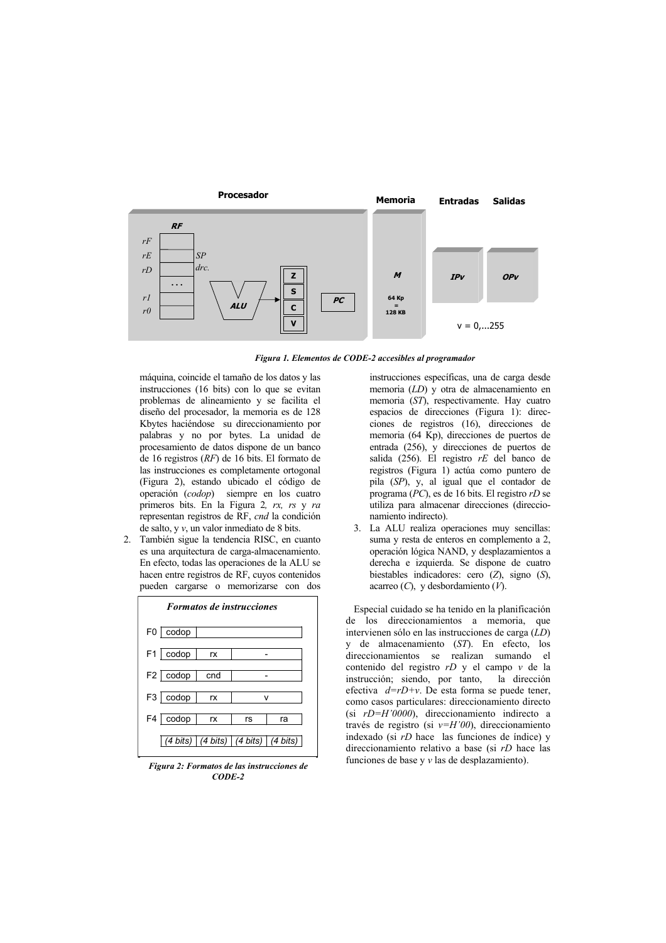

Figura 1. Elementos de CODE-2 accesibles al programador

máquina, coincide el tamaño de los datos y las instrucciones (16 bits) con lo que se evitan problemas de alineamiento y se facilita el diseño del procesador, la memoria es de 128 Kbytes haciéndose su direccionamiento por palabras y no por bytes. La unidad de procesamiento de datos dispone de un banco de 16 registros  $(RF)$  de 16 bits. El formato de las instrucciones es completamente ortogonal (Figura 2), estando ubicado el código de operación (codop) siempre en los cuatro primeros bits. En la Figura 2,  $rx$ ,  $rs$  y  $ra$ representan registros de RF, cnd la condición de salto, y  $v$ , un valor inmediato de 8 bits.

 $\mathcal{D}$ También sigue la tendencia RISC, en cuanto es una arquitectura de carga-almacenamiento. En efecto, todas las operaciones de la ALU se hacen entre registros de RF, cuyos contenidos pueden cargarse o memorizarse con dos



Figura 2: Formatos de las instrucciones de  $CODE-2$ 

instrucciones específicas, una de carga desde memoria  $(LD)$  y otra de almacenamiento en memoria  $(ST)$ , respectivamente. Hay cuatro espacios de direcciones (Figura 1): direcciones de registros (16), direcciones de memoria (64 Kp), direcciones de puertos de entrada (256), y direcciones de puertos de salida (256). El registro  $rE$  del banco de registros (Figura 1) actúa como puntero de pila  $(SP)$ , y, al igual que el contador de programa ( $PC$ ), es de 16 bits. El registro  $rD$  se utiliza para almacenar direcciones (direccionamiento indirecto).

 $\mathcal{L}$ La ALU realiza operaciones muy sencillas: suma y resta de enteros en complemento a 2. operación lógica NAND, y desplazamientos a derecha e izquierda. Se dispone de cuatro biestables indicadores: cero  $(Z)$ , signo  $(S)$ , acarreo  $(C)$ , y desbordamiento  $(V)$ .

Especial cuidado se ha tenido en la planificación de los direccionamientos a memoria, que intervienen sólo en las instrucciones de carga  $\widehat{(LD)}$ y de almacenamiento (ST). En efecto, los direccionamientos se realizan sumando el contenido del registro rD y el campo v de la instrucción; siendo, por tanto, la dirección efectiva  $d=rD+v$ . De esta forma se puede tener, como casos particulares: direccionamiento directo (si  $rD=H'0000$ ), direccionamiento indirecto a través de registro (si  $v=H'00$ ), direccionamiento indexado (si  $rD$  hace las funciones de índice) y direccionamiento relativo a base (si rD hace las funciones de base y  $\nu$  las de desplazamiento).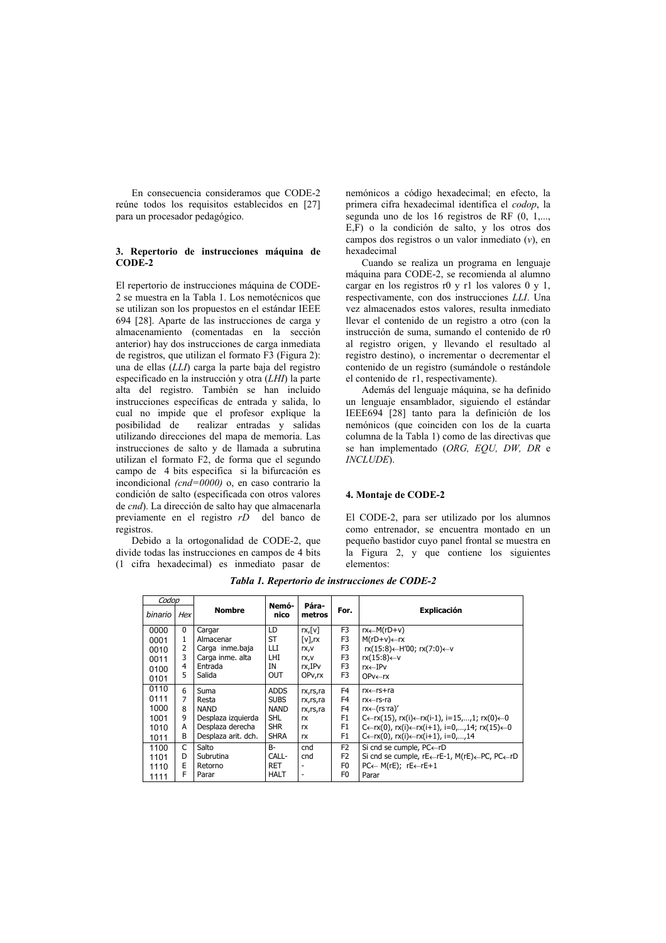En consecuencia consideramos que CODE-2 reúne todos los requisitos establecidos en [27] para un procesador pedagógico.

#### 3. Repertorio de instrucciones máquina de CODE-2

El repertorio de instrucciones máquina de CODE-2 se muestra en la Tabla 1. Los nemotécnicos que se utilizan son los propuestos en el estándar IEEE 694 [28]. Aparte de las instrucciones de carga y almacenamiento (comentadas en la sección anterior) hay dos instrucciones de carga inmediata de registros, que utilizan el formato F3 (Figura 2): una de ellas (LLI) carga la parte baja del registro especificado en la instrucción y otra  $(LHI)$  la parte alta del registro. También se han incluido instrucciones específicas de entrada y salida, lo cual no impide que el profesor explique la posibilidad de realizar entradas y salidas utilizando direcciones del mapa de memoria. Las instrucciones de salto y de llamada a subrutina utilizan el formato F2, de forma que el segundo campo de 4 bits especifica si la bifurcación es incondicional  $(cnd=0000)$  o, en caso contrario la condición de salto (especificada con otros valores de *cnd*). La dirección de salto hay que almacenarla previamente en el registro rD del banco de registros.

Debido a la ortogonalidad de CODE-2, que divide todas las instrucciones en campos de 4 bits (1 cifra hexadecimal) es inmediato pasar de nemónicos a código hexadecimal; en efecto, la primera cifra hexadecimal identifica el *codon*. la segunda uno de los 16 registros de RF  $(0, 1, \ldots,$ E,F) o la condición de salto, y los otros dos campos dos registros o un valor inmediato  $(v)$ , en hexadecimal

Cuando se realiza un programa en lenguaje máquina para CODE-2, se recomienda al alumno cargar en los registros r0 y r1 los valores  $0 \times 1$ , respectivamente, con dos instrucciones LLI. Una vez almacenados estos valores, resulta inmediato llevar el contenido de un registro a otro (con la instrucción de suma, sumando el contenido de r0 al registro origen, y llevando el resultado al registro destino), o incrementar o decrementar el contenido de un registro (sumándole o restándole el contenido de r1, respectivamente).

Además del lenguaie máquina, se ha definido un lenguaje ensamblador, siguiendo el estándar IEEE694 [28] tanto para la definición de los nemónicos (que coinciden con los de la cuarta columna de la Tabla 1) como de las directivas que se han implementado (ORG, EQU, DW, DR e  $INCLUDE$ .

#### 4. Montaje de CODE-2

El CODE-2, para ser utilizado por los alumnos como entrenador, se encuentra montado en un pequeño bastidor cuyo panel frontal se muestra en la Figura 2, y que contiene los siguientes elementos<sup>.</sup>

| Codop   |            |                     |               |                        |                |                                                                                       |
|---------|------------|---------------------|---------------|------------------------|----------------|---------------------------------------------------------------------------------------|
| binario | <b>Hex</b> | <b>Nombre</b>       | Nemó-<br>nico | Pára-<br>metros        | For.           | <b>Explicación</b>                                                                    |
| 0000    | $\Omega$   | Cargar              | LD            | $rx$ , $[v]$           | F <sub>3</sub> | $rx \leftarrow M(rD+v)$                                                               |
| 0001    | 1          | Almacenar           | ST            | $\lceil v \rceil$ , rx | F3             | $M(rD+v) \leftarrow rx$                                                               |
| 0010    | 2          | Carga inme.baja     | Ш             | rx,v                   | F <sub>3</sub> | $rx(15:8) \leftarrow H'00$ ; $rx(7:0) \leftarrow v$                                   |
| 0011    | 3          | Carga inme. alta    | LHI           | rx,v                   | F3             | $rx(15:8) \leftarrow v$                                                               |
| 0100    | 4          | Entrada             | ΙN            | rx,IPv                 | F <sub>3</sub> | $rx \leftarrow IPV$                                                                   |
| 0101    | 5          | Salida              | <b>OUT</b>    | OPv,rx                 | F <sub>3</sub> | $OPV \leftarrow r x$                                                                  |
| 0110    | 6          | Suma                | <b>ADDS</b>   | rx,rs,ra               | F4             | rx←rs+ra                                                                              |
| 0111    | 7          | Resta               | <b>SUBS</b>   | rx,rs,ra               | F <sub>4</sub> | $rx \leftarrow rs$ -ra                                                                |
| 1000    | 8          | <b>NAND</b>         | <b>NAND</b>   | rx,rs,ra               | F <sub>4</sub> | $rx \leftarrow (rs \cdot ra)'$                                                        |
| 1001    | 9          | Desplaza izguierda  | <b>SHL</b>    | <b>rx</b>              | F <sub>1</sub> | C←rx(15), rx(i)←rx(i-1), i=15,,1; rx(0)←0                                             |
| 1010    | A          | Desplaza derecha    | <b>SHR</b>    | rx                     | F <sub>1</sub> | $C \leftarrow rx(0)$ , $rx(i) \leftarrow rx(i+1)$ , $i=0,,14$ ; $rx(15) \leftarrow 0$ |
| 1011    | B          | Desplaza arit. dch. | <b>SHRA</b>   | <b>rx</b>              | F <sub>1</sub> | $C \leftarrow rx(0)$ , $rx(i) \leftarrow rx(i+1)$ , $i=0,,14$                         |
| 1100    | C          | Salto               | $B -$         | cnd                    | F <sub>2</sub> | Si cnd se cumple, $PC \leftarrow rD$                                                  |
| 1101    | D          | Subrutina           | CALL-         | cnd                    | F <sub>2</sub> | Si cnd se cumple, rE←rE-1, M(rE)←PC, PC←rD                                            |
| 1110    | E          | Retorno             | <b>RET</b>    |                        | F <sub>0</sub> | $PC \leftarrow M(rE); rE \leftarrow rE + 1$                                           |
| 1111    | F          | Parar               | <b>HALT</b>   | ٠                      | F <sub>0</sub> | Parar                                                                                 |

Tabla 1. Repertorio de instrucciones de CODE-2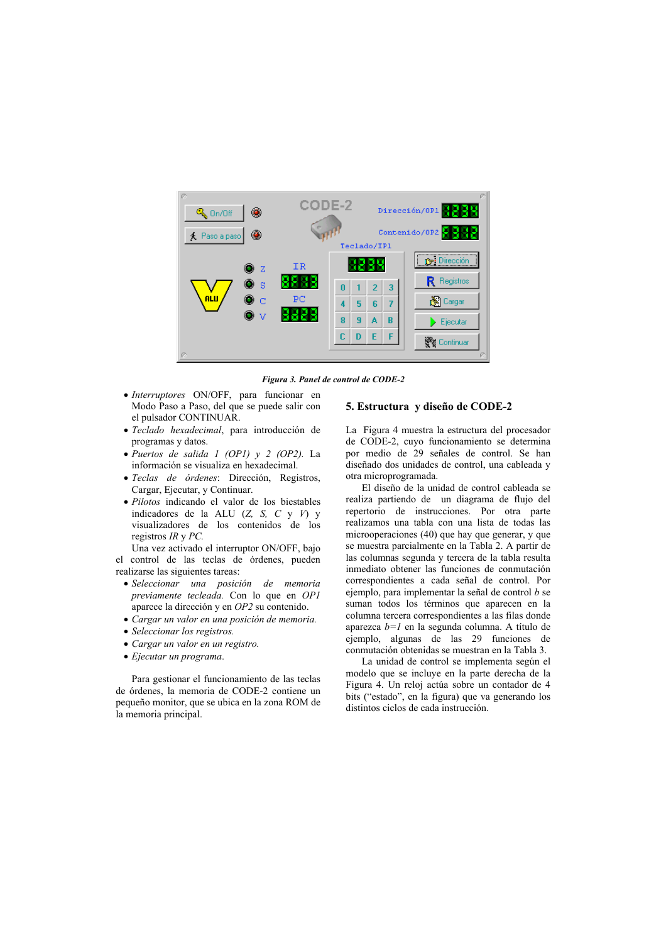

Figura 3. Panel de control de CODE-2

- · Interruptores ON/OFF, para funcionar en Modo Paso a Paso, del que se puede salir con el pulsador CONTINUAR.
- · Teclado hexadecimal, para introducción de programas y datos.
- · Puertos de salida 1 (OP1) y 2 (OP2). La información se visualiza en hexadecimal.
- · Teclas de órdenes: Dirección, Registros, Cargar, Ejecutar, y Continuar.
- · Pilotos indicando el valor de los biestables indicadores de la ALU (Z, S, C y V) y visualizadores de los contenidos de los registros  $IR \vee PC$ .

Una vez activado el interruptor ON/OFF, bajo el control de las teclas de órdenes, pueden realizarse las siguientes tareas:

- · Seleccionar una posición de memoria previamente tecleada. Con lo que en OP1 aparece la dirección y en OP2 su contenido.
- Cargar un valor en una posición de memoria.
- Seleccionar los registros.
- Cargar un valor en un registro.
- Ejecutar un programa.

Para gestionar el funcionamiento de las teclas de órdenes, la memoria de CODE-2 contiene un pequeño monitor, que se ubica en la zona ROM de la memoria principal.

#### 5. Estructura y diseño de CODE-2

La Figura 4 muestra la estructura del procesador de CODE-2, cuyo funcionamiento se determina por medio de 29 señales de control. Se han diseñado dos unidades de control, una cableada y otra microprogramada.

El diseño de la unidad de control cableada se realiza partiendo de un diagrama de flujo del repertorio de instrucciones. Por otra parte realizamos una tabla con una lista de todas las microoperaciones (40) que hay que generar, y que se muestra parcialmente en la Tabla 2. A partir de las columnas segunda y tercera de la tabla resulta inmediato obtener las funciones de conmutación correspondientes a cada señal de control. Por ejemplo, para implementar la señal de control  $b$  se suman todos los términos que aparecen en la columna tercera correspondientes a las filas donde aparezca  $b=1$  en la segunda columna. A título de ejemplo, algunas de las 29 funciones de conmutación obtenidas se muestran en la Tabla 3.

La unidad de control se implementa según el modelo que se incluye en la parte derecha de la Figura 4. Un reloj actúa sobre un contador de 4 bits ("estado", en la figura) que va generando los distintos ciclos de cada instrucción.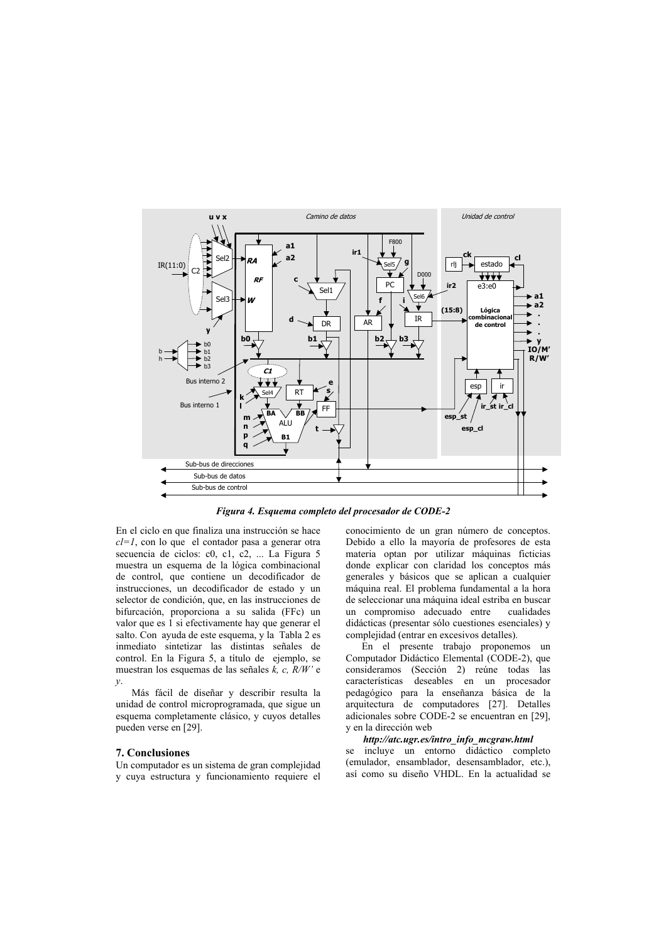

Figura 4. Esquema completo del procesador de CODE-2

En el ciclo en que finaliza una instrucción se hace  $cl=1$ , con lo que el contador pasa a generar otra secuencia de ciclos: c0, c1, c2, ... La Figura 5 muestra un esquema de la lógica combinacional de control, que contiene un decodificador de instrucciones, un decodificador de estado y un selector de condición, que, en las instrucciones de bifurcación, proporciona a su salida (FFc) un valor que es 1 si efectivamente hay que generar el salto. Con avuda de este esquema, y la Tabla 2 es inmediato sintetizar las distintas señales de control. En la Figura 5, a título de ejemplo, se muestran los esquemas de las señales k, c,  $\overline{R}/W$  e  $\mathcal{V}$ .

Más fácil de diseñar y describir resulta la unidad de control microprogramada, que sigue un esquema completamente clásico, y cuyos detalles pueden verse en [29].

#### 7. Conclusiones

Un computador es un sistema de gran complejidad y cuya estructura y funcionamiento requiere el conocimiento de un gran número de conceptos. Debido a ello la mayoría de profesores de esta materia optan por utilizar máquinas ficticias donde explicar con claridad los conceptos más generales y básicos que se aplican a cualquier máquina real. El problema fundamental a la hora de seleccionar una máquina ideal estriba en buscar un compromiso adecuado entre cualidades didácticas (presentar sólo cuestiones esenciales) y complejidad (entrar en excesivos detalles).

En el presente trabajo proponemos un Computador Didáctico Elemental (CODE-2), que consideramos (Sección 2) reúne todas las características deseables en un procesador pedagógico para la enseñanza básica de la arquitectura de computadores [27]. Detalles adicionales sobre CODE-2 se encuentran en [29], y en la dirección web

## http://atc.ugr.es/intro\_info\_mcgraw.html

se incluye un entorno didáctico completo (emulador, ensamblador, desensamblador, etc.), así como su diseño VHDL. En la actualidad se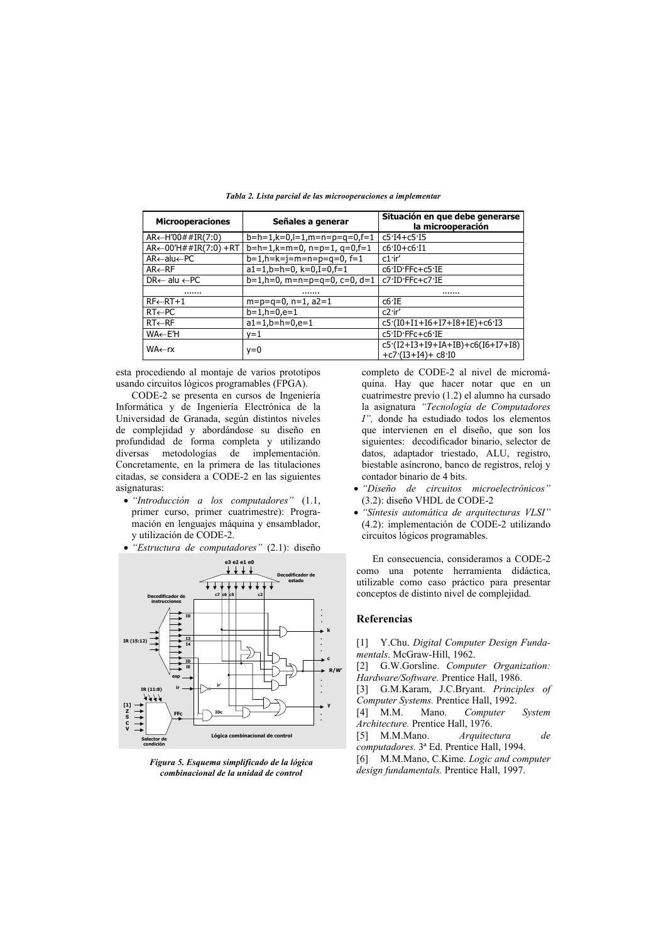| <b>Microoperaciones</b>                  | Señales a generar               | Situación en que debe generarse<br>la microoperación     |
|------------------------------------------|---------------------------------|----------------------------------------------------------|
| $AR \leftarrow H'00 \# #IR(7:0)$         | $b=h=1,k=0,l=1,m=n=p=q=0,f=1$   | $c5.14 + c5.15$                                          |
| $AR \leftarrow 00' H # # IR(7:0) + RT$   | $b=h=1, k=m=0, n=p=1, q=0,f=1$  | $c6.10 + c6.11$                                          |
| $AR \leftarrow all \leftarrow PC$        | $b=1, h=k=i=m=n=p=q=0, f=1$     | $c1$ ir'                                                 |
| $AR \leftarrow RF$                       | $a1=1, b=h=0, k=0, I=0, f=1$    | c6 ID FFc+c5 IE                                          |
| $DR \leftarrow \text{alu} \leftarrow PC$ | $b=1, h=0, m=n=p=q=0, c=0, d=1$ | c7.ID.FFc+c7.IE                                          |
|                                          |                                 |                                                          |
| $RF \leftarrow RT+1$                     | $m=p=q=0, n=1, a2=1$            | $c6$ <sup>-IE</sup>                                      |
| $RT \leftarrow PC$                       | $b=1, h=0, e=1$                 | $c2$ ·ir'                                                |
| $RT \leftarrow RF$                       | $a1=1.b=h=0.e=1$                | $c5(10+11+16+17+18+1E)+c613$                             |
| WA←EΉ                                    | y=1                             | c5 ID FFc+c6 IE                                          |
| WA←rx                                    | $y=0$                           | $c5(I2+I3+I9+IA+IB)+c6(I6+I7+I8)$<br>$+c7(13+14) + c810$ |

Tabla 2. Lista parcial de las microoperaciones a implementar

esta procediendo al montaje de varios prototipos usando circuitos lógicos programables (FPGA).

CODE-2 se presenta en cursos de Ingeniería Informática y de Ingeniería Electrónica de la Universidad de Granada, según distintos niveles de complejidad y abordándose su diseño en profundidad de forma completa y utilizando diversas metodologías de implementación. Concretamente, en la primera de las titulaciones citadas, se considera a CODE-2 en las siguientes asignaturas:

- $\bullet$  "Introducción a los computadores" (1.1, primer curso, primer cuatrimestre): Programación en lenguajes máquina y ensamblador, y utilización de CODE-2.
- "Estructura de computadores" (2.1): diseño



Figura 5. Esquema simplificado de la lógica combinacional de la unidad de control

completo de CODE-2 al nivel de micromáquina. Hay que hacer notar que en un cuatrimestre previo (1.2) el alumno ha cursado la asignatura "Tecnología de Computadores I", donde ha estudiado todos los elementos que intervienen en el diseño, que son los siguientes: decodificador binario, selector de datos, adaptador triestado, ALU, registro, biestable asíncrono, banco de registros, reloj y contador binario de 4 bits.

- · "Diseño de circuitos microelectrónicos" (3.2): diseño VHDL de CODE-2
- · "Sintesis automática de arquitecturas VLSI" (4.2): implementación de CODE-2 utilizando circuitos lógicos programables.

En consecuencia, consideramos a CODE-2 como una potente herramienta didáctica, utilizable como caso práctico para presentar conceptos de distinto nivel de complejidad.

#### **Referencias**

[1] Y.Chu. Digital Computer Design Fundamentals. McGraw-Hill, 1962.

[2] G.W.Gorsline. Computer Organization: Hardware/Software. Prentice Hall, 1986.

[3] G.M.Karam, J.C.Bryant. Principles of Computer Systems. Prentice Hall, 1992.

 $[4]$  M.M. Mano. Computer System Architecture. Prentice Hall, 1976.

M.M.Mano. Arquitectura de  $\lceil 5 \rceil$ 

computadores. 3ª Ed. Prentice Hall, 1994.

[6] M.M.Mano, C.Kime, Logic and computer design fundamentals. Prentice Hall, 1997.